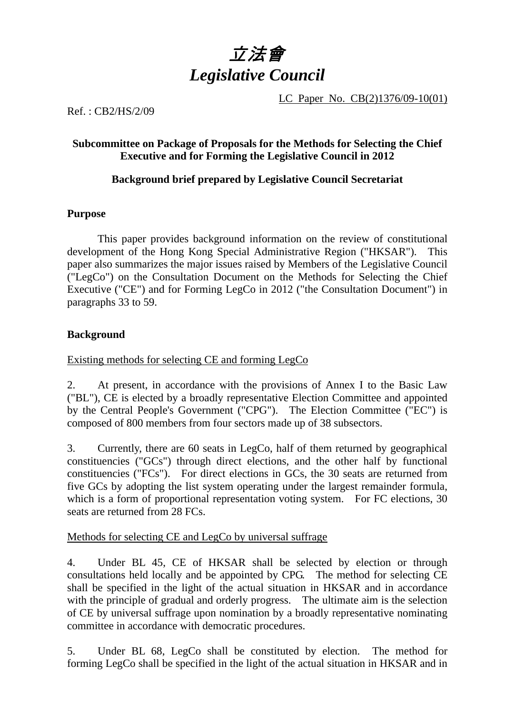

LC Paper No. CB(2)1376/09-10(01)

Ref. : CB2/HS/2/09

## **Subcommittee on Package of Proposals for the Methods for Selecting the Chief Executive and for Forming the Legislative Council in 2012**

# **Background brief prepared by Legislative Council Secretariat**

## **Purpose**

 This paper provides background information on the review of constitutional development of the Hong Kong Special Administrative Region ("HKSAR"). This paper also summarizes the major issues raised by Members of the Legislative Council ("LegCo") on the Consultation Document on the Methods for Selecting the Chief Executive ("CE") and for Forming LegCo in 2012 ("the Consultation Document") in paragraphs 33 to 59.

# **Background**

Existing methods for selecting CE and forming LegCo

2. At present, in accordance with the provisions of Annex I to the Basic Law ("BL"), CE is elected by a broadly representative Election Committee and appointed by the Central People's Government ("CPG"). The Election Committee ("EC") is composed of 800 members from four sectors made up of 38 subsectors.

3. Currently, there are 60 seats in LegCo, half of them returned by geographical constituencies ("GCs") through direct elections, and the other half by functional constituencies ("FCs"). For direct elections in GCs, the 30 seats are returned from five GCs by adopting the list system operating under the largest remainder formula, which is a form of proportional representation voting system. For FC elections, 30 seats are returned from 28 FCs.

## Methods for selecting CE and LegCo by universal suffrage

4. Under BL 45, CE of HKSAR shall be selected by election or through consultations held locally and be appointed by CPG. The method for selecting CE shall be specified in the light of the actual situation in HKSAR and in accordance with the principle of gradual and orderly progress. The ultimate aim is the selection of CE by universal suffrage upon nomination by a broadly representative nominating committee in accordance with democratic procedures.

5. Under BL 68, LegCo shall be constituted by election. The method for forming LegCo shall be specified in the light of the actual situation in HKSAR and in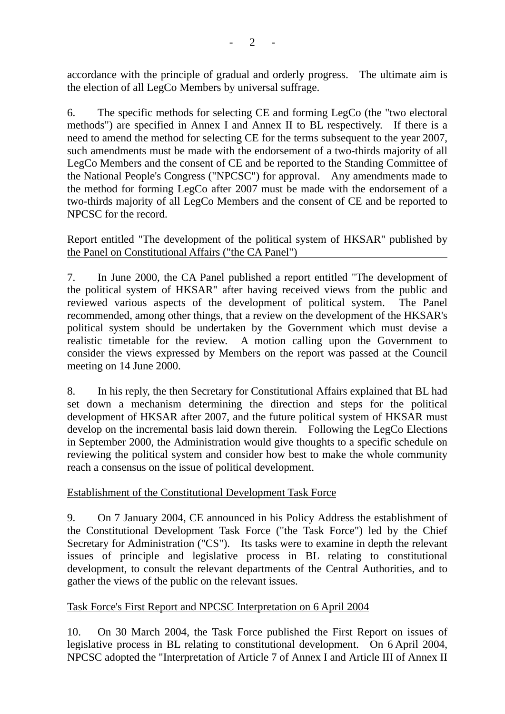accordance with the principle of gradual and orderly progress. The ultimate aim is the election of all LegCo Members by universal suffrage.

6. The specific methods for selecting CE and forming LegCo (the "two electoral methods") are specified in Annex I and Annex II to BL respectively. If there is a need to amend the method for selecting CE for the terms subsequent to the year 2007, such amendments must be made with the endorsement of a two-thirds majority of all LegCo Members and the consent of CE and be reported to the Standing Committee of the National People's Congress ("NPCSC") for approval. Any amendments made to the method for forming LegCo after 2007 must be made with the endorsement of a two-thirds majority of all LegCo Members and the consent of CE and be reported to NPCSC for the record.

Report entitled "The development of the political system of HKSAR" published by the Panel on Constitutional Affairs ("the CA Panel")

7. In June 2000, the CA Panel published a report entitled "The development of the political system of HKSAR" after having received views from the public and reviewed various aspects of the development of political system. The Panel recommended, among other things, that a review on the development of the HKSAR's political system should be undertaken by the Government which must devise a realistic timetable for the review. A motion calling upon the Government to consider the views expressed by Members on the report was passed at the Council meeting on 14 June 2000.

8. In his reply, the then Secretary for Constitutional Affairs explained that BL had set down a mechanism determining the direction and steps for the political development of HKSAR after 2007, and the future political system of HKSAR must develop on the incremental basis laid down therein. Following the LegCo Elections in September 2000, the Administration would give thoughts to a specific schedule on reviewing the political system and consider how best to make the whole community reach a consensus on the issue of political development.

## Establishment of the Constitutional Development Task Force

9. On 7 January 2004, CE announced in his Policy Address the establishment of the Constitutional Development Task Force ("the Task Force") led by the Chief Secretary for Administration ("CS"). Its tasks were to examine in depth the relevant issues of principle and legislative process in BL relating to constitutional development, to consult the relevant departments of the Central Authorities, and to gather the views of the public on the relevant issues.

## Task Force's First Report and NPCSC Interpretation on 6 April 2004

10. On 30 March 2004, the Task Force published the First Report on issues of legislative process in BL relating to constitutional development. On 6 April 2004, NPCSC adopted the "Interpretation of Article 7 of Annex I and Article III of Annex II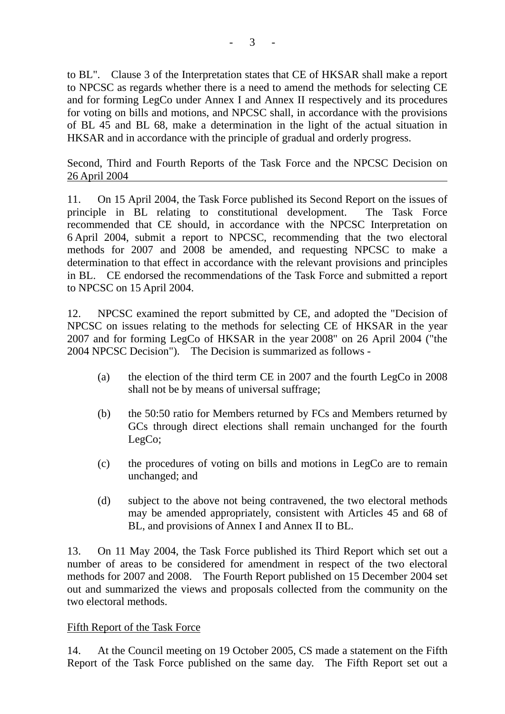to BL". Clause 3 of the Interpretation states that CE of HKSAR shall make a report to NPCSC as regards whether there is a need to amend the methods for selecting CE and for forming LegCo under Annex I and Annex II respectively and its procedures for voting on bills and motions, and NPCSC shall, in accordance with the provisions of BL 45 and BL 68, make a determination in the light of the actual situation in HKSAR and in accordance with the principle of gradual and orderly progress.

Second, Third and Fourth Reports of the Task Force and the NPCSC Decision on 26 April 2004

11. On 15 April 2004, the Task Force published its Second Report on the issues of principle in BL relating to constitutional development. The Task Force recommended that CE should, in accordance with the NPCSC Interpretation on 6 April 2004, submit a report to NPCSC, recommending that the two electoral methods for 2007 and 2008 be amended, and requesting NPCSC to make a determination to that effect in accordance with the relevant provisions and principles in BL. CE endorsed the recommendations of the Task Force and submitted a report to NPCSC on 15 April 2004.

12. NPCSC examined the report submitted by CE, and adopted the "Decision of NPCSC on issues relating to the methods for selecting CE of HKSAR in the year 2007 and for forming LegCo of HKSAR in the year 2008" on 26 April 2004 ("the 2004 NPCSC Decision"). The Decision is summarized as follows -

- (a) the election of the third term CE in 2007 and the fourth LegCo in 2008 shall not be by means of universal suffrage;
- (b) the 50:50 ratio for Members returned by FCs and Members returned by GCs through direct elections shall remain unchanged for the fourth LegCo;
- (c) the procedures of voting on bills and motions in LegCo are to remain unchanged; and
- (d) subject to the above not being contravened, the two electoral methods may be amended appropriately, consistent with Articles 45 and 68 of BL, and provisions of Annex I and Annex II to BL.

13. On 11 May 2004, the Task Force published its Third Report which set out a number of areas to be considered for amendment in respect of the two electoral methods for 2007 and 2008. The Fourth Report published on 15 December 2004 set out and summarized the views and proposals collected from the community on the two electoral methods.

## Fifth Report of the Task Force

14. At the Council meeting on 19 October 2005, CS made a statement on the Fifth Report of the Task Force published on the same day. The Fifth Report set out a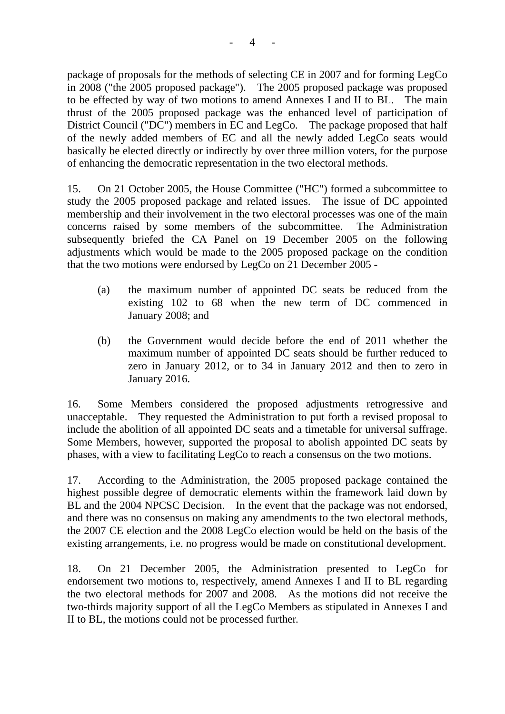package of proposals for the methods of selecting CE in 2007 and for forming LegCo in 2008 ("the 2005 proposed package"). The 2005 proposed package was proposed to be effected by way of two motions to amend Annexes I and II to BL. The main thrust of the 2005 proposed package was the enhanced level of participation of District Council ("DC") members in EC and LegCo. The package proposed that half of the newly added members of EC and all the newly added LegCo seats would basically be elected directly or indirectly by over three million voters, for the purpose of enhancing the democratic representation in the two electoral methods.

15. On 21 October 2005, the House Committee ("HC") formed a subcommittee to study the 2005 proposed package and related issues. The issue of DC appointed membership and their involvement in the two electoral processes was one of the main concerns raised by some members of the subcommittee. The Administration subsequently briefed the CA Panel on 19 December 2005 on the following adjustments which would be made to the 2005 proposed package on the condition that the two motions were endorsed by LegCo on 21 December 2005 -

- (a) the maximum number of appointed DC seats be reduced from the existing 102 to 68 when the new term of DC commenced in January 2008; and
- (b) the Government would decide before the end of 2011 whether the maximum number of appointed DC seats should be further reduced to zero in January 2012, or to 34 in January 2012 and then to zero in January 2016.

16. Some Members considered the proposed adjustments retrogressive and unacceptable. They requested the Administration to put forth a revised proposal to include the abolition of all appointed DC seats and a timetable for universal suffrage. Some Members, however, supported the proposal to abolish appointed DC seats by phases, with a view to facilitating LegCo to reach a consensus on the two motions.

17. According to the Administration, the 2005 proposed package contained the highest possible degree of democratic elements within the framework laid down by BL and the 2004 NPCSC Decision. In the event that the package was not endorsed, and there was no consensus on making any amendments to the two electoral methods, the 2007 CE election and the 2008 LegCo election would be held on the basis of the existing arrangements, i.e. no progress would be made on constitutional development.

18. On 21 December 2005, the Administration presented to LegCo for endorsement two motions to, respectively, amend Annexes I and II to BL regarding the two electoral methods for 2007 and 2008. As the motions did not receive the two-thirds majority support of all the LegCo Members as stipulated in Annexes I and II to BL, the motions could not be processed further.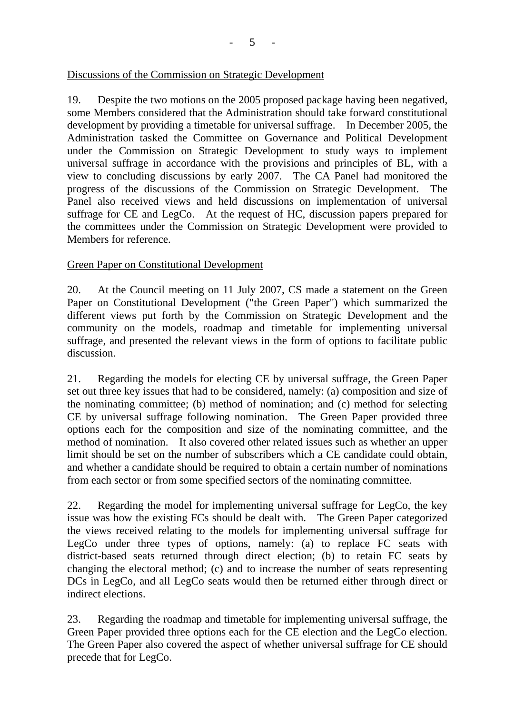#### Discussions of the Commission on Strategic Development

19. Despite the two motions on the 2005 proposed package having been negatived, some Members considered that the Administration should take forward constitutional development by providing a timetable for universal suffrage. In December 2005, the Administration tasked the Committee on Governance and Political Development under the Commission on Strategic Development to study ways to implement universal suffrage in accordance with the provisions and principles of BL, with a view to concluding discussions by early 2007. The CA Panel had monitored the progress of the discussions of the Commission on Strategic Development. The Panel also received views and held discussions on implementation of universal suffrage for CE and LegCo. At the request of HC, discussion papers prepared for the committees under the Commission on Strategic Development were provided to Members for reference.

## Green Paper on Constitutional Development

20. At the Council meeting on 11 July 2007, CS made a statement on the Green Paper on Constitutional Development ("the Green Paper") which summarized the different views put forth by the Commission on Strategic Development and the community on the models, roadmap and timetable for implementing universal suffrage, and presented the relevant views in the form of options to facilitate public discussion.

21. Regarding the models for electing CE by universal suffrage, the Green Paper set out three key issues that had to be considered, namely: (a) composition and size of the nominating committee; (b) method of nomination; and (c) method for selecting CE by universal suffrage following nomination. The Green Paper provided three options each for the composition and size of the nominating committee, and the method of nomination. It also covered other related issues such as whether an upper limit should be set on the number of subscribers which a CE candidate could obtain, and whether a candidate should be required to obtain a certain number of nominations from each sector or from some specified sectors of the nominating committee.

22. Regarding the model for implementing universal suffrage for LegCo, the key issue was how the existing FCs should be dealt with. The Green Paper categorized the views received relating to the models for implementing universal suffrage for LegCo under three types of options, namely: (a) to replace FC seats with district-based seats returned through direct election; (b) to retain FC seats by changing the electoral method; (c) and to increase the number of seats representing DCs in LegCo, and all LegCo seats would then be returned either through direct or indirect elections.

23. Regarding the roadmap and timetable for implementing universal suffrage, the Green Paper provided three options each for the CE election and the LegCo election. The Green Paper also covered the aspect of whether universal suffrage for CE should precede that for LegCo.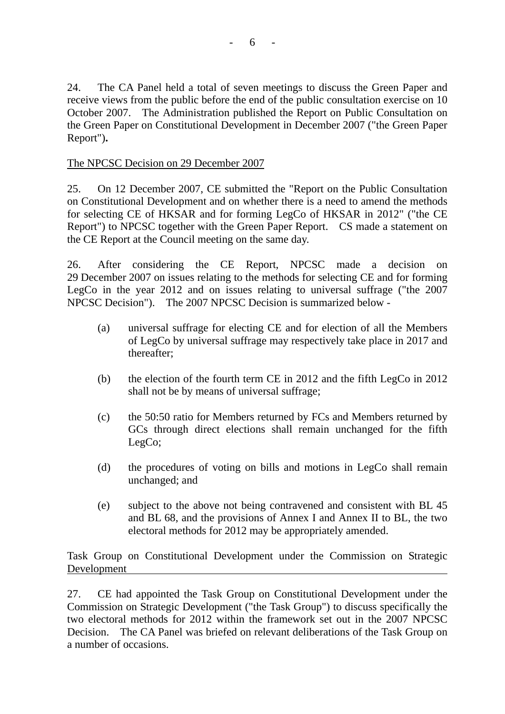24. The CA Panel held a total of seven meetings to discuss the Green Paper and receive views from the public before the end of the public consultation exercise on 10 October 2007. The Administration published the Report on Public Consultation on the Green Paper on Constitutional Development in December 2007 ("the Green Paper Report")**.**

# The NPCSC Decision on 29 December 2007

25. On 12 December 2007, CE submitted the "Report on the Public Consultation on Constitutional Development and on whether there is a need to amend the methods for selecting CE of HKSAR and for forming LegCo of HKSAR in 2012" ("the CE Report") to NPCSC together with the Green Paper Report. CS made a statement on the CE Report at the Council meeting on the same day.

26. After considering the CE Report, NPCSC made a decision on 29 December 2007 on issues relating to the methods for selecting CE and for forming LegCo in the year 2012 and on issues relating to universal suffrage ("the 2007 NPCSC Decision"). The 2007 NPCSC Decision is summarized below -

- (a) universal suffrage for electing CE and for election of all the Members of LegCo by universal suffrage may respectively take place in 2017 and thereafter;
- (b) the election of the fourth term CE in 2012 and the fifth LegCo in 2012 shall not be by means of universal suffrage;
- (c) the 50:50 ratio for Members returned by FCs and Members returned by GCs through direct elections shall remain unchanged for the fifth LegCo;
- (d) the procedures of voting on bills and motions in LegCo shall remain unchanged; and
- (e) subject to the above not being contravened and consistent with BL 45 and BL 68, and the provisions of Annex I and Annex II to BL, the two electoral methods for 2012 may be appropriately amended.

Task Group on Constitutional Development under the Commission on Strategic Development

27. CE had appointed the Task Group on Constitutional Development under the Commission on Strategic Development ("the Task Group") to discuss specifically the two electoral methods for 2012 within the framework set out in the 2007 NPCSC Decision. The CA Panel was briefed on relevant deliberations of the Task Group on a number of occasions.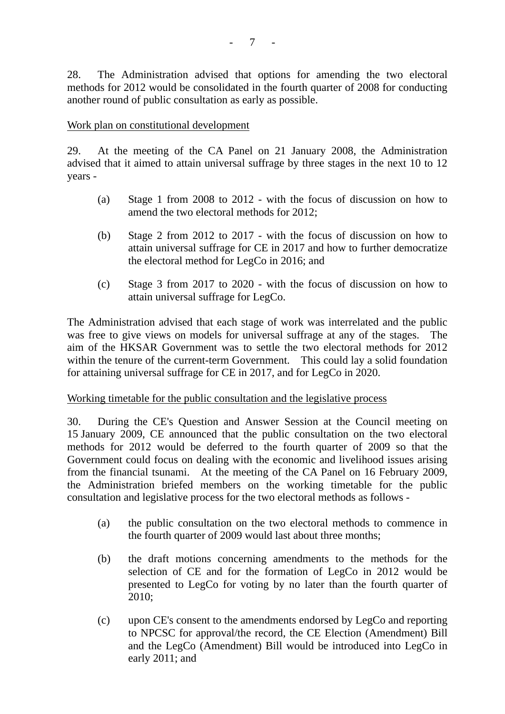28. The Administration advised that options for amending the two electoral methods for 2012 would be consolidated in the fourth quarter of 2008 for conducting another round of public consultation as early as possible.

#### Work plan on constitutional development

29. At the meeting of the CA Panel on 21 January 2008, the Administration advised that it aimed to attain universal suffrage by three stages in the next 10 to 12 years -

- (a) Stage 1 from 2008 to 2012 with the focus of discussion on how to amend the two electoral methods for 2012;
- (b) Stage 2 from 2012 to 2017 with the focus of discussion on how to attain universal suffrage for CE in 2017 and how to further democratize the electoral method for LegCo in 2016; and
- (c) Stage 3 from 2017 to 2020 with the focus of discussion on how to attain universal suffrage for LegCo.

The Administration advised that each stage of work was interrelated and the public was free to give views on models for universal suffrage at any of the stages. The aim of the HKSAR Government was to settle the two electoral methods for 2012 within the tenure of the current-term Government. This could lay a solid foundation for attaining universal suffrage for CE in 2017, and for LegCo in 2020.

#### Working timetable for the public consultation and the legislative process

30. During the CE's Question and Answer Session at the Council meeting on 15 January 2009, CE announced that the public consultation on the two electoral methods for 2012 would be deferred to the fourth quarter of 2009 so that the Government could focus on dealing with the economic and livelihood issues arising from the financial tsunami. At the meeting of the CA Panel on 16 February 2009, the Administration briefed members on the working timetable for the public consultation and legislative process for the two electoral methods as follows -

- (a) the public consultation on the two electoral methods to commence in the fourth quarter of 2009 would last about three months;
- (b) the draft motions concerning amendments to the methods for the selection of CE and for the formation of LegCo in 2012 would be presented to LegCo for voting by no later than the fourth quarter of 2010;
- (c) upon CE's consent to the amendments endorsed by LegCo and reporting to NPCSC for approval/the record, the CE Election (Amendment) Bill and the LegCo (Amendment) Bill would be introduced into LegCo in early 2011; and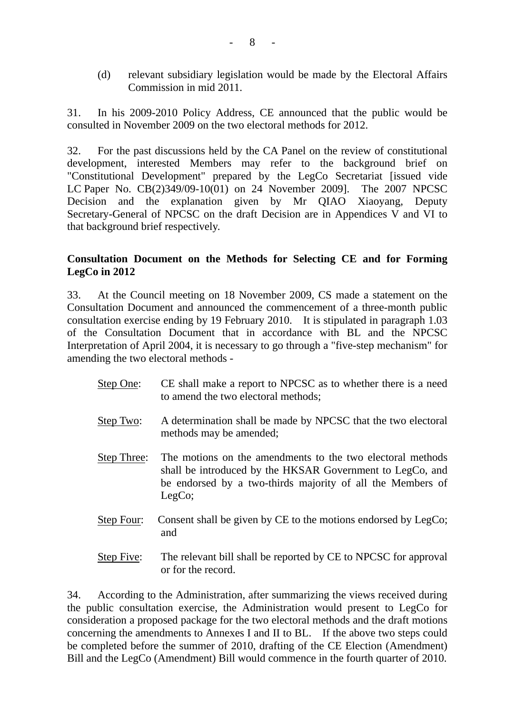(d) relevant subsidiary legislation would be made by the Electoral Affairs Commission in mid 2011.

31. In his 2009-2010 Policy Address, CE announced that the public would be consulted in November 2009 on the two electoral methods for 2012.

32. For the past discussions held by the CA Panel on the review of constitutional development, interested Members may refer to the background brief on "Constitutional Development" prepared by the LegCo Secretariat [issued vide LC Paper No. CB(2)349/09-10(01) on 24 November 2009]. The 2007 NPCSC Decision and the explanation given by Mr QIAO Xiaoyang, Deputy Secretary-General of NPCSC on the draft Decision are in Appendices V and VI to that background brief respectively.

## **Consultation Document on the Methods for Selecting CE and for Forming LegCo in 2012**

33. At the Council meeting on 18 November 2009, CS made a statement on the Consultation Document and announced the commencement of a three-month public consultation exercise ending by 19 February 2010. It is stipulated in paragraph 1.03 of the Consultation Document that in accordance with BL and the NPCSC Interpretation of April 2004, it is necessary to go through a "five-step mechanism" for amending the two electoral methods -

- Step One: CE shall make a report to NPCSC as to whether there is a need to amend the two electoral methods;
- Step Two: A determination shall be made by NPCSC that the two electoral methods may be amended;
- Step Three: The motions on the amendments to the two electoral methods shall be introduced by the HKSAR Government to LegCo, and be endorsed by a two-thirds majority of all the Members of LegCo;
- Step Four: Consent shall be given by CE to the motions endorsed by LegCo; and
- Step Five: The relevant bill shall be reported by CE to NPCSC for approval or for the record.

34. According to the Administration, after summarizing the views received during the public consultation exercise, the Administration would present to LegCo for consideration a proposed package for the two electoral methods and the draft motions concerning the amendments to Annexes I and II to BL. If the above two steps could be completed before the summer of 2010, drafting of the CE Election (Amendment) Bill and the LegCo (Amendment) Bill would commence in the fourth quarter of 2010.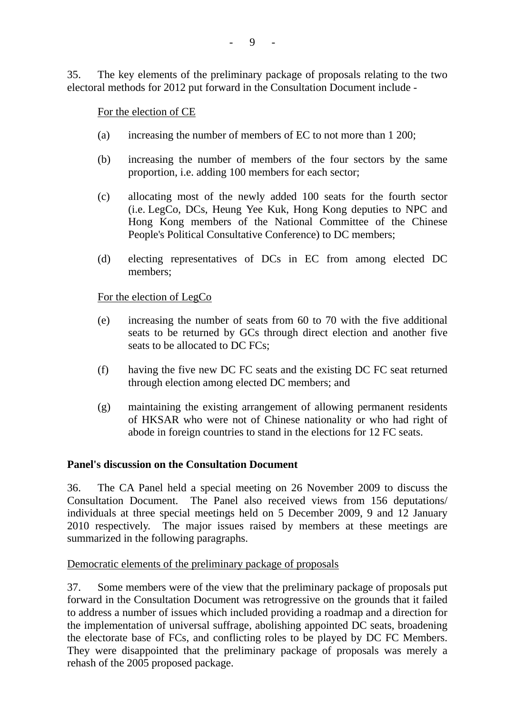35. The key elements of the preliminary package of proposals relating to the two electoral methods for 2012 put forward in the Consultation Document include -

For the election of CE

- (a) increasing the number of members of EC to not more than 1 200;
- (b) increasing the number of members of the four sectors by the same proportion, i.e. adding 100 members for each sector;
- (c) allocating most of the newly added 100 seats for the fourth sector (i.e. LegCo, DCs, Heung Yee Kuk, Hong Kong deputies to NPC and Hong Kong members of the National Committee of the Chinese People's Political Consultative Conference) to DC members;
- (d) electing representatives of DCs in EC from among elected DC members;

For the election of LegCo

- (e) increasing the number of seats from 60 to 70 with the five additional seats to be returned by GCs through direct election and another five seats to be allocated to DC FCs;
- (f) having the five new DC FC seats and the existing DC FC seat returned through election among elected DC members; and
- (g) maintaining the existing arrangement of allowing permanent residents of HKSAR who were not of Chinese nationality or who had right of abode in foreign countries to stand in the elections for 12 FC seats.

#### **Panel's discussion on the Consultation Document**

36. The CA Panel held a special meeting on 26 November 2009 to discuss the Consultation Document. The Panel also received views from 156 deputations/ individuals at three special meetings held on 5 December 2009, 9 and 12 January 2010 respectively. The major issues raised by members at these meetings are summarized in the following paragraphs.

#### Democratic elements of the preliminary package of proposals

37. Some members were of the view that the preliminary package of proposals put forward in the Consultation Document was retrogressive on the grounds that it failed to address a number of issues which included providing a roadmap and a direction for the implementation of universal suffrage, abolishing appointed DC seats, broadening the electorate base of FCs, and conflicting roles to be played by DC FC Members. They were disappointed that the preliminary package of proposals was merely a rehash of the 2005 proposed package.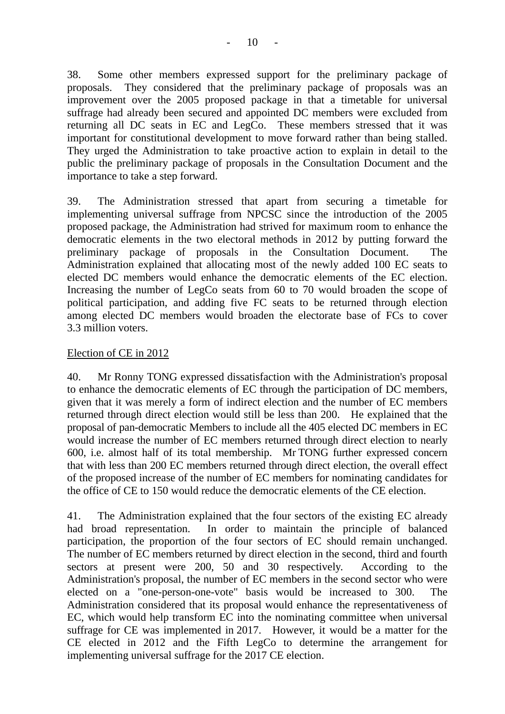38. Some other members expressed support for the preliminary package of proposals. They considered that the preliminary package of proposals was an improvement over the 2005 proposed package in that a timetable for universal suffrage had already been secured and appointed DC members were excluded from returning all DC seats in EC and LegCo. These members stressed that it was important for constitutional development to move forward rather than being stalled. They urged the Administration to take proactive action to explain in detail to the public the preliminary package of proposals in the Consultation Document and the importance to take a step forward.

39. The Administration stressed that apart from securing a timetable for implementing universal suffrage from NPCSC since the introduction of the 2005 proposed package, the Administration had strived for maximum room to enhance the democratic elements in the two electoral methods in 2012 by putting forward the preliminary package of proposals in the Consultation Document. The Administration explained that allocating most of the newly added 100 EC seats to elected DC members would enhance the democratic elements of the EC election. Increasing the number of LegCo seats from 60 to 70 would broaden the scope of political participation, and adding five FC seats to be returned through election among elected DC members would broaden the electorate base of FCs to cover 3.3 million voters.

# Election of CE in 2012

40. Mr Ronny TONG expressed dissatisfaction with the Administration's proposal to enhance the democratic elements of EC through the participation of DC members, given that it was merely a form of indirect election and the number of EC members returned through direct election would still be less than 200. He explained that the proposal of pan-democratic Members to include all the 405 elected DC members in EC would increase the number of EC members returned through direct election to nearly 600, i.e. almost half of its total membership. Mr TONG further expressed concern that with less than 200 EC members returned through direct election, the overall effect of the proposed increase of the number of EC members for nominating candidates for the office of CE to 150 would reduce the democratic elements of the CE election.

41. The Administration explained that the four sectors of the existing EC already had broad representation. In order to maintain the principle of balanced participation, the proportion of the four sectors of EC should remain unchanged. The number of EC members returned by direct election in the second, third and fourth sectors at present were 200, 50 and 30 respectively. According to the Administration's proposal, the number of EC members in the second sector who were elected on a "one-person-one-vote" basis would be increased to 300. The Administration considered that its proposal would enhance the representativeness of EC, which would help transform EC into the nominating committee when universal suffrage for CE was implemented in 2017. However, it would be a matter for the CE elected in 2012 and the Fifth LegCo to determine the arrangement for implementing universal suffrage for the 2017 CE election.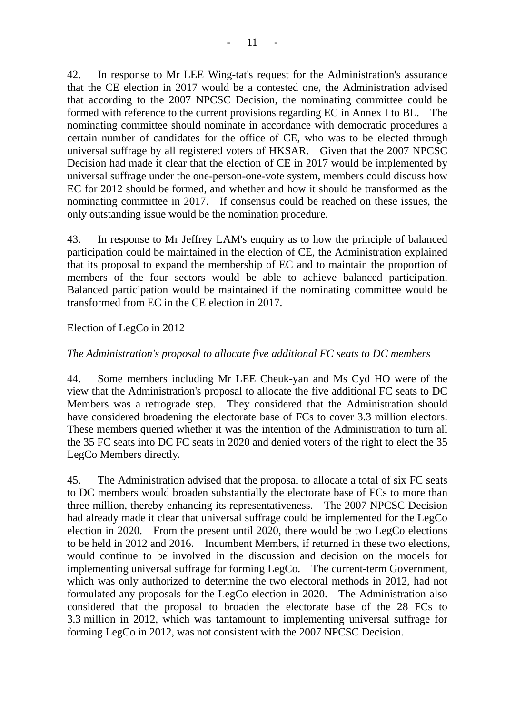42. In response to Mr LEE Wing-tat's request for the Administration's assurance that the CE election in 2017 would be a contested one, the Administration advised that according to the 2007 NPCSC Decision, the nominating committee could be formed with reference to the current provisions regarding EC in Annex I to BL. The nominating committee should nominate in accordance with democratic procedures a certain number of candidates for the office of CE, who was to be elected through universal suffrage by all registered voters of HKSAR. Given that the 2007 NPCSC Decision had made it clear that the election of CE in 2017 would be implemented by universal suffrage under the one-person-one-vote system, members could discuss how EC for 2012 should be formed, and whether and how it should be transformed as the nominating committee in 2017. If consensus could be reached on these issues, the only outstanding issue would be the nomination procedure.

43. In response to Mr Jeffrey LAM's enquiry as to how the principle of balanced participation could be maintained in the election of CE, the Administration explained that its proposal to expand the membership of EC and to maintain the proportion of members of the four sectors would be able to achieve balanced participation. Balanced participation would be maintained if the nominating committee would be transformed from EC in the CE election in 2017.

#### Election of LegCo in 2012

#### *The Administration's proposal to allocate five additional FC seats to DC members*

44. Some members including Mr LEE Cheuk-yan and Ms Cyd HO were of the view that the Administration's proposal to allocate the five additional FC seats to DC Members was a retrograde step. They considered that the Administration should have considered broadening the electorate base of FCs to cover 3.3 million electors. These members queried whether it was the intention of the Administration to turn all the 35 FC seats into DC FC seats in 2020 and denied voters of the right to elect the 35 LegCo Members directly.

45. The Administration advised that the proposal to allocate a total of six FC seats to DC members would broaden substantially the electorate base of FCs to more than three million, thereby enhancing its representativeness. The 2007 NPCSC Decision had already made it clear that universal suffrage could be implemented for the LegCo election in 2020. From the present until 2020, there would be two LegCo elections to be held in 2012 and 2016. Incumbent Members, if returned in these two elections, would continue to be involved in the discussion and decision on the models for implementing universal suffrage for forming LegCo. The current-term Government, which was only authorized to determine the two electoral methods in 2012, had not formulated any proposals for the LegCo election in 2020. The Administration also considered that the proposal to broaden the electorate base of the 28 FCs to 3.3 million in 2012, which was tantamount to implementing universal suffrage for forming LegCo in 2012, was not consistent with the 2007 NPCSC Decision.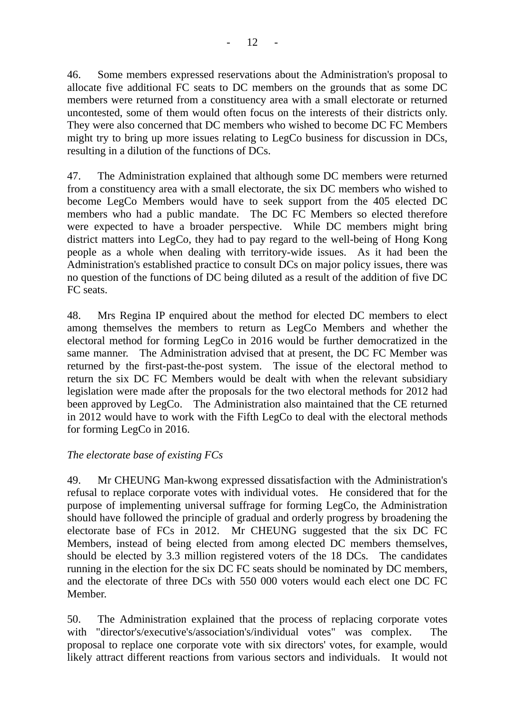46. Some members expressed reservations about the Administration's proposal to allocate five additional FC seats to DC members on the grounds that as some DC members were returned from a constituency area with a small electorate or returned uncontested, some of them would often focus on the interests of their districts only. They were also concerned that DC members who wished to become DC FC Members might try to bring up more issues relating to LegCo business for discussion in DCs, resulting in a dilution of the functions of DCs.

47. The Administration explained that although some DC members were returned from a constituency area with a small electorate, the six DC members who wished to become LegCo Members would have to seek support from the 405 elected DC members who had a public mandate. The DC FC Members so elected therefore were expected to have a broader perspective. While DC members might bring district matters into LegCo, they had to pay regard to the well-being of Hong Kong people as a whole when dealing with territory-wide issues. As it had been the Administration's established practice to consult DCs on major policy issues, there was no question of the functions of DC being diluted as a result of the addition of five DC FC seats.

48. Mrs Regina IP enquired about the method for elected DC members to elect among themselves the members to return as LegCo Members and whether the electoral method for forming LegCo in 2016 would be further democratized in the same manner. The Administration advised that at present, the DC FC Member was returned by the first-past-the-post system. The issue of the electoral method to return the six DC FC Members would be dealt with when the relevant subsidiary legislation were made after the proposals for the two electoral methods for 2012 had been approved by LegCo. The Administration also maintained that the CE returned in 2012 would have to work with the Fifth LegCo to deal with the electoral methods for forming LegCo in 2016.

## *The electorate base of existing FCs*

49. Mr CHEUNG Man-kwong expressed dissatisfaction with the Administration's refusal to replace corporate votes with individual votes. He considered that for the purpose of implementing universal suffrage for forming LegCo, the Administration should have followed the principle of gradual and orderly progress by broadening the electorate base of FCs in 2012. Mr CHEUNG suggested that the six DC FC Members, instead of being elected from among elected DC members themselves, should be elected by 3.3 million registered voters of the 18 DCs. The candidates running in the election for the six DC FC seats should be nominated by DC members, and the electorate of three DCs with 550 000 voters would each elect one DC FC Member.

50. The Administration explained that the process of replacing corporate votes with "director's/executive's/association's/individual votes" was complex. The proposal to replace one corporate vote with six directors' votes, for example, would likely attract different reactions from various sectors and individuals. It would not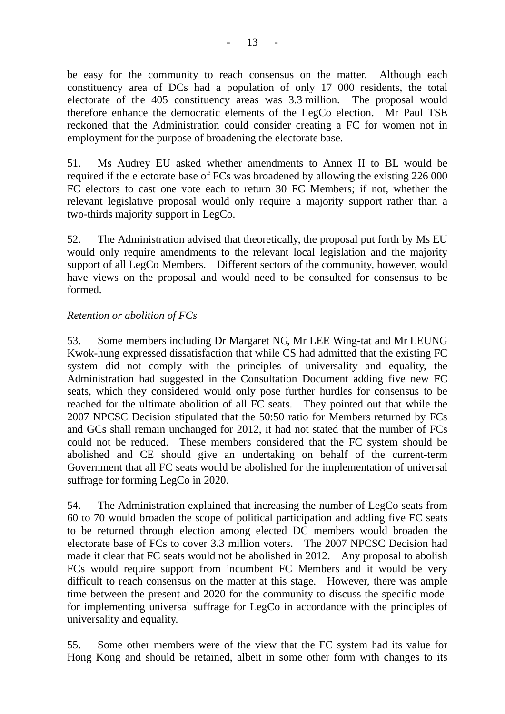be easy for the community to reach consensus on the matter. Although each constituency area of DCs had a population of only 17 000 residents, the total electorate of the 405 constituency areas was 3.3 million. The proposal would therefore enhance the democratic elements of the LegCo election. Mr Paul TSE reckoned that the Administration could consider creating a FC for women not in employment for the purpose of broadening the electorate base.

51. Ms Audrey EU asked whether amendments to Annex II to BL would be required if the electorate base of FCs was broadened by allowing the existing 226 000 FC electors to cast one vote each to return 30 FC Members; if not, whether the relevant legislative proposal would only require a majority support rather than a two-thirds majority support in LegCo.

52. The Administration advised that theoretically, the proposal put forth by Ms EU would only require amendments to the relevant local legislation and the majority support of all LegCo Members. Different sectors of the community, however, would have views on the proposal and would need to be consulted for consensus to be formed.

## *Retention or abolition of FCs*

53. Some members including Dr Margaret NG, Mr LEE Wing-tat and Mr LEUNG Kwok-hung expressed dissatisfaction that while CS had admitted that the existing FC system did not comply with the principles of universality and equality, the Administration had suggested in the Consultation Document adding five new FC seats, which they considered would only pose further hurdles for consensus to be reached for the ultimate abolition of all FC seats. They pointed out that while the 2007 NPCSC Decision stipulated that the 50:50 ratio for Members returned by FCs and GCs shall remain unchanged for 2012, it had not stated that the number of FCs could not be reduced. These members considered that the FC system should be abolished and CE should give an undertaking on behalf of the current-term Government that all FC seats would be abolished for the implementation of universal suffrage for forming LegCo in 2020.

54. The Administration explained that increasing the number of LegCo seats from 60 to 70 would broaden the scope of political participation and adding five FC seats to be returned through election among elected DC members would broaden the electorate base of FCs to cover 3.3 million voters. The 2007 NPCSC Decision had made it clear that FC seats would not be abolished in 2012. Any proposal to abolish FCs would require support from incumbent FC Members and it would be very difficult to reach consensus on the matter at this stage. However, there was ample time between the present and 2020 for the community to discuss the specific model for implementing universal suffrage for LegCo in accordance with the principles of universality and equality.

55. Some other members were of the view that the FC system had its value for Hong Kong and should be retained, albeit in some other form with changes to its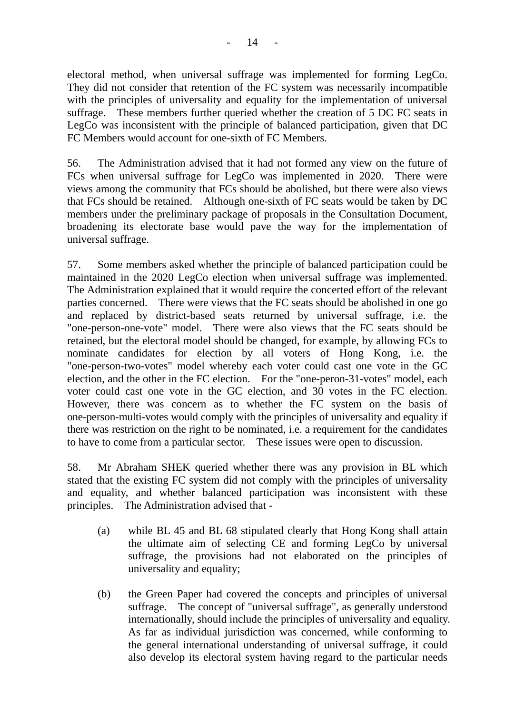electoral method, when universal suffrage was implemented for forming LegCo. They did not consider that retention of the FC system was necessarily incompatible with the principles of universality and equality for the implementation of universal suffrage. These members further queried whether the creation of 5 DC FC seats in LegCo was inconsistent with the principle of balanced participation, given that DC FC Members would account for one-sixth of FC Members.

56. The Administration advised that it had not formed any view on the future of FCs when universal suffrage for LegCo was implemented in 2020. There were views among the community that FCs should be abolished, but there were also views that FCs should be retained. Although one-sixth of FC seats would be taken by DC members under the preliminary package of proposals in the Consultation Document, broadening its electorate base would pave the way for the implementation of universal suffrage.

57. Some members asked whether the principle of balanced participation could be maintained in the 2020 LegCo election when universal suffrage was implemented. The Administration explained that it would require the concerted effort of the relevant parties concerned. There were views that the FC seats should be abolished in one go and replaced by district-based seats returned by universal suffrage, i.e. the "one-person-one-vote" model. There were also views that the FC seats should be retained, but the electoral model should be changed, for example, by allowing FCs to nominate candidates for election by all voters of Hong Kong, i.e. the "one-person-two-votes" model whereby each voter could cast one vote in the GC election, and the other in the FC election. For the "one-peron-31-votes" model, each voter could cast one vote in the GC election, and 30 votes in the FC election. However, there was concern as to whether the FC system on the basis of one-person-multi-votes would comply with the principles of universality and equality if there was restriction on the right to be nominated, i.e. a requirement for the candidates to have to come from a particular sector. These issues were open to discussion.

58. Mr Abraham SHEK queried whether there was any provision in BL which stated that the existing FC system did not comply with the principles of universality and equality, and whether balanced participation was inconsistent with these principles. The Administration advised that -

- (a) while BL 45 and BL 68 stipulated clearly that Hong Kong shall attain the ultimate aim of selecting CE and forming LegCo by universal suffrage, the provisions had not elaborated on the principles of universality and equality;
- (b) the Green Paper had covered the concepts and principles of universal suffrage. The concept of "universal suffrage", as generally understood internationally, should include the principles of universality and equality. As far as individual jurisdiction was concerned, while conforming to the general international understanding of universal suffrage, it could also develop its electoral system having regard to the particular needs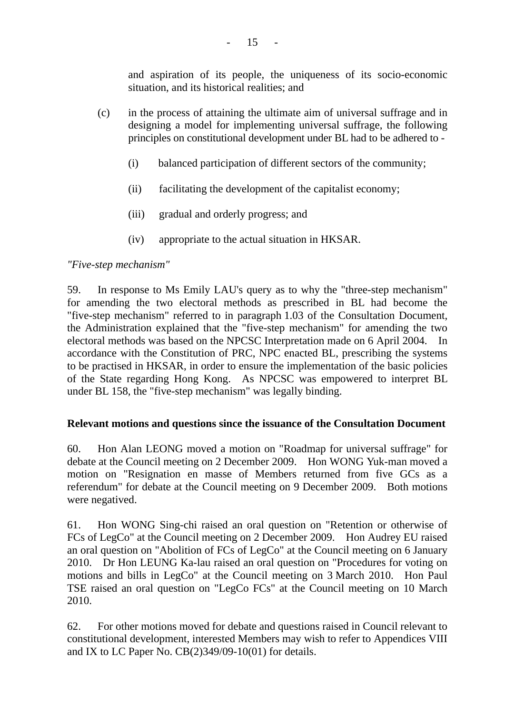and aspiration of its people, the uniqueness of its socio-economic situation, and its historical realities; and

- (c) in the process of attaining the ultimate aim of universal suffrage and in designing a model for implementing universal suffrage, the following principles on constitutional development under BL had to be adhered to -
	- (i) balanced participation of different sectors of the community;
	- (ii) facilitating the development of the capitalist economy;
	- (iii) gradual and orderly progress; and
	- (iv) appropriate to the actual situation in HKSAR.

#### *"Five-step mechanism"*

59. In response to Ms Emily LAU's query as to why the "three-step mechanism" for amending the two electoral methods as prescribed in BL had become the "five-step mechanism" referred to in paragraph 1.03 of the Consultation Document, the Administration explained that the "five-step mechanism" for amending the two electoral methods was based on the NPCSC Interpretation made on 6 April 2004. In accordance with the Constitution of PRC, NPC enacted BL, prescribing the systems to be practised in HKSAR, in order to ensure the implementation of the basic policies of the State regarding Hong Kong. As NPCSC was empowered to interpret BL under BL 158, the "five-step mechanism" was legally binding.

#### **Relevant motions and questions since the issuance of the Consultation Document**

60. Hon Alan LEONG moved a motion on "Roadmap for universal suffrage" for debate at the Council meeting on 2 December 2009. Hon WONG Yuk-man moved a motion on "Resignation en masse of Members returned from five GCs as a referendum" for debate at the Council meeting on 9 December 2009. Both motions were negatived.

61. Hon WONG Sing-chi raised an oral question on "Retention or otherwise of FCs of LegCo" at the Council meeting on 2 December 2009. Hon Audrey EU raised an oral question on "Abolition of FCs of LegCo" at the Council meeting on 6 January 2010. Dr Hon LEUNG Ka-lau raised an oral question on "Procedures for voting on motions and bills in LegCo" at the Council meeting on 3 March 2010. Hon Paul TSE raised an oral question on "LegCo FCs" at the Council meeting on 10 March 2010.

62. For other motions moved for debate and questions raised in Council relevant to constitutional development, interested Members may wish to refer to Appendices VIII and IX to LC Paper No. CB(2)349/09-10(01) for details.